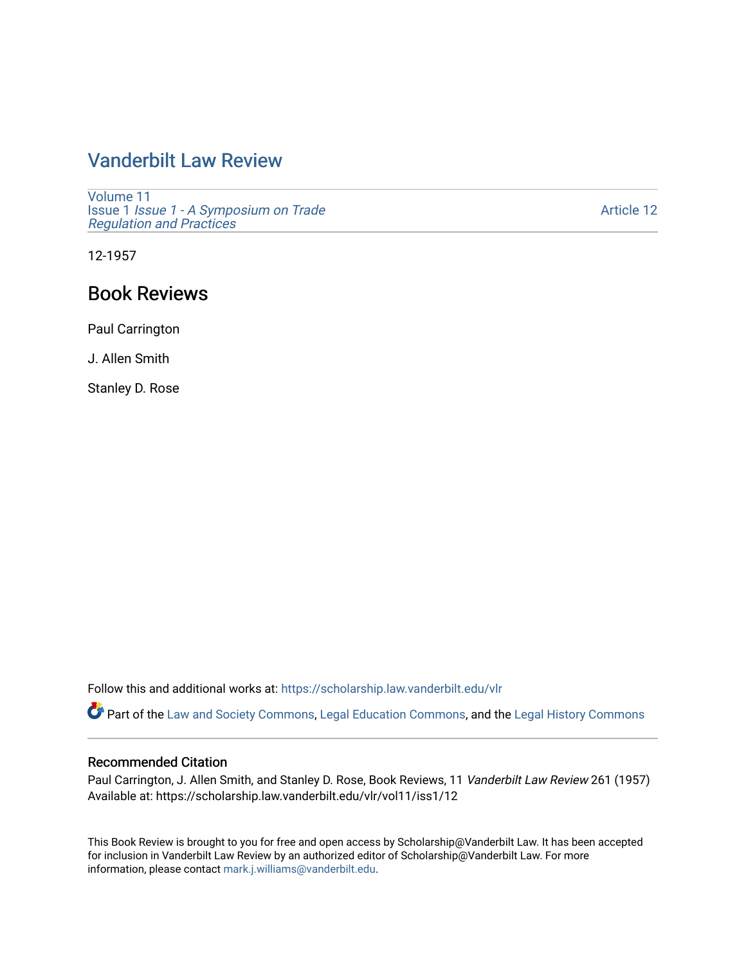## [Vanderbilt Law Review](https://scholarship.law.vanderbilt.edu/vlr)

[Volume 11](https://scholarship.law.vanderbilt.edu/vlr/vol11) Issue 1 [Issue 1 - A Symposium on Trade](https://scholarship.law.vanderbilt.edu/vlr/vol11/iss1)  [Regulation and Practices](https://scholarship.law.vanderbilt.edu/vlr/vol11/iss1) 

[Article 12](https://scholarship.law.vanderbilt.edu/vlr/vol11/iss1/12) 

12-1957

## Book Reviews

Paul Carrington

J. Allen Smith

Stanley D. Rose

Follow this and additional works at: [https://scholarship.law.vanderbilt.edu/vlr](https://scholarship.law.vanderbilt.edu/vlr?utm_source=scholarship.law.vanderbilt.edu%2Fvlr%2Fvol11%2Fiss1%2F12&utm_medium=PDF&utm_campaign=PDFCoverPages)

Part of the [Law and Society Commons](http://network.bepress.com/hgg/discipline/853?utm_source=scholarship.law.vanderbilt.edu%2Fvlr%2Fvol11%2Fiss1%2F12&utm_medium=PDF&utm_campaign=PDFCoverPages), [Legal Education Commons](http://network.bepress.com/hgg/discipline/857?utm_source=scholarship.law.vanderbilt.edu%2Fvlr%2Fvol11%2Fiss1%2F12&utm_medium=PDF&utm_campaign=PDFCoverPages), and the [Legal History Commons](http://network.bepress.com/hgg/discipline/904?utm_source=scholarship.law.vanderbilt.edu%2Fvlr%2Fvol11%2Fiss1%2F12&utm_medium=PDF&utm_campaign=PDFCoverPages)

## Recommended Citation

Paul Carrington, J. Allen Smith, and Stanley D. Rose, Book Reviews, 11 Vanderbilt Law Review 261 (1957) Available at: https://scholarship.law.vanderbilt.edu/vlr/vol11/iss1/12

This Book Review is brought to you for free and open access by Scholarship@Vanderbilt Law. It has been accepted for inclusion in Vanderbilt Law Review by an authorized editor of Scholarship@Vanderbilt Law. For more information, please contact [mark.j.williams@vanderbilt.edu](mailto:mark.j.williams@vanderbilt.edu).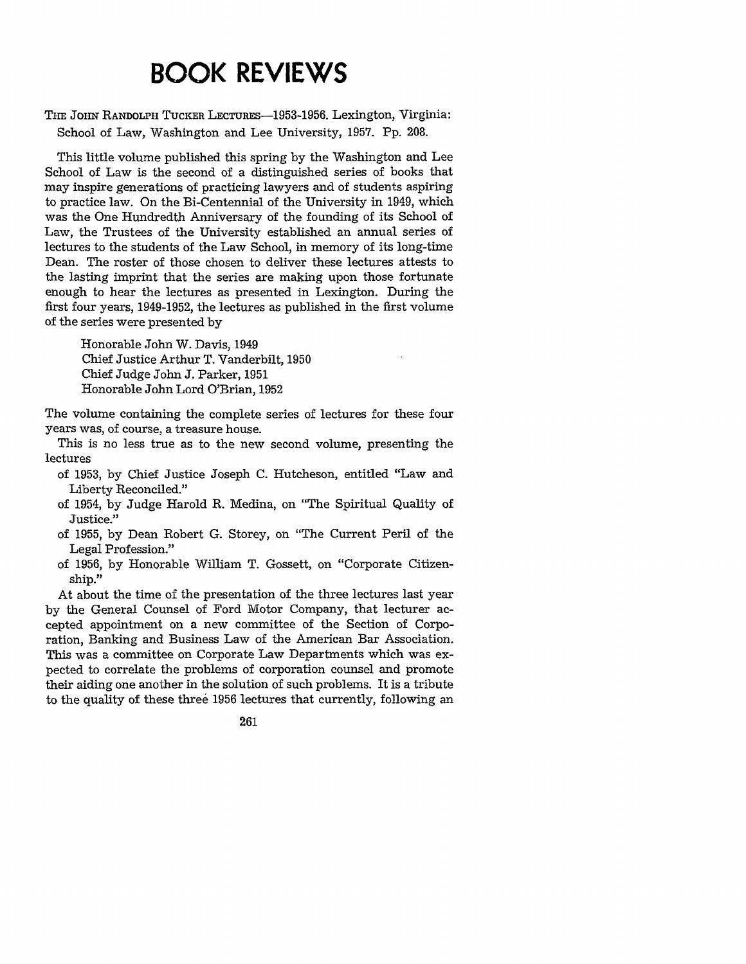## **BOOK REVIEWS**

THE JOHN RANDOLPH TUCKER LECTURES-1953-1956. Lexington, Virginia: School of Law, Washington and Lee University, 1957. **Pp.** 208.

This little volume published this spring by the Washington and Lee School of Law is the second of a distinguished series of books that may inspire generations of practicing lawyers and of students aspiring to practice law. On the Bi-Centennial of the University in 1949, which was the One Hundredth Anniversary of the founding of its School of Law, the Trustees of the University established an annual series of lectures to the students of the Law School, in memory of its long-time Dean. The roster of those chosen to deliver these lectures attests to the lasting imprint that the series are making upon those fortunate enough to hear the lectures as presented in Lexington. During the first four years, 1949-1952, the lectures as published in the first volume of the series were presented by

Honorable John W. Davis, 1949 Chief Justice Arthur T. Vanderbilt, 1950 Chief Judge John **J.** Parker, 1951 Honorable John Lord O'Brian, 1952

The volume containing the complete series of lectures for these four years was, of course, a treasure house.

This is no less true as to the new second volume, presenting the lectures

- of 1953, by Chief Justice Joseph C. Hutcheson, entitled "Law and Liberty Reconciled."
- of 1954, by Judge Harold R. Medina, on "The Spiritual Quality of Justice."
- of 1955, by Dean Robert G. Storey, on "The Current Peril of the Legal Profession."
- of 1956, by Honorable William T. Gossett, on "Corporate Citizenship."

At about the time of the presentation of the three lectures last year by the General Counsel of Ford Motor Company, that lecturer accepted appointment on a new committee of the Section of Corporation, Banking and Business Law of the American Bar Association. This was a committee on Corporate Law Departments which was expected to correlate the problems of corporation counsel and promote their aiding one another in the solution of such problems. It is a tribute to the quality of these three 1956 lectures that currently, following an

261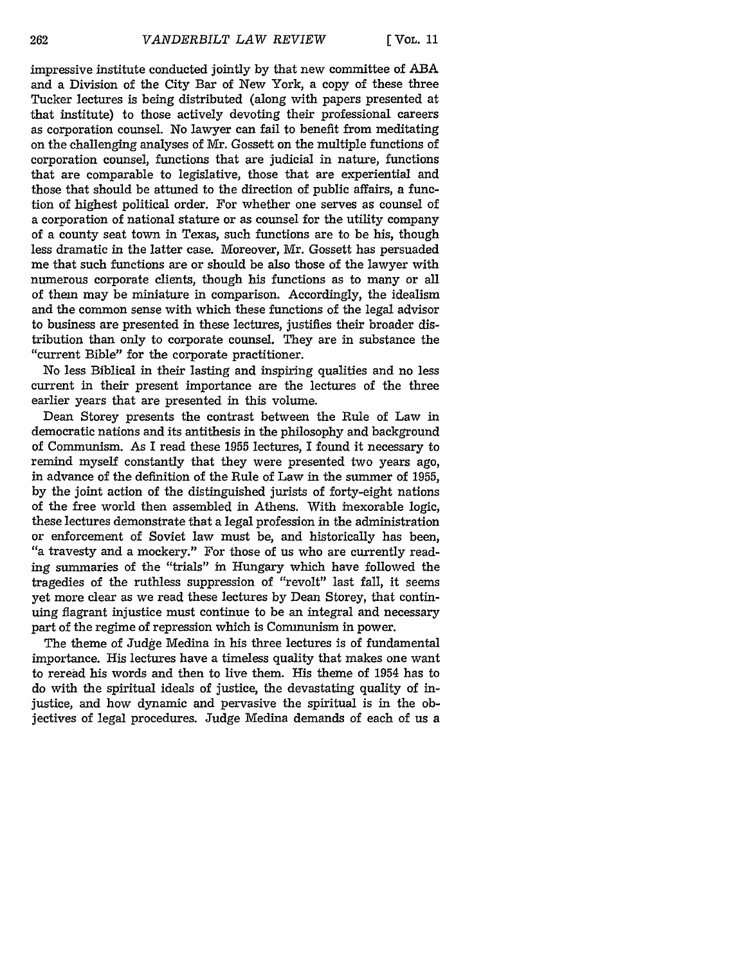impressive institute conducted jointly by that new committee of **ABA** and a Division of the City Bar of New York, a copy of these three Tucker lectures is being distributed (along with papers presented at that institute) to those actively devoting their professional careers as corporation counsel. No lawyer can fail to benefit from meditating on the challenging analyses of Mr. Gossett on the multiple functions of corporation counsel, functions that are judicial in nature, functions that are comparable to legislative, those that are experiential and those that should be attuned to the direction of public affairs, a function of highest political order. For whether one serves as counsel of a corporation of national stature or as counsel for the utility company of a county seat town in Texas, such functions are to be his, though less dramatic in the latter case. Moreover, Mr. Gossett has persuaded me that such functions are or should be also those of the lawyer with numerous corporate clients, though his functions as to many or all of them may be miniature in comparison. Accordingly, the idealism and the common sense with which these functions of the legal advisor to business are presented in these lectures, justifies their broader distribution than only to corporate counsel. They are in substance the "current Bible" for the corporate practitioner.

No less Biblical in their lasting and inspiring qualities and no less current in their present importance are the lectures of the three earlier years that are presented in this volume.

Dean Storey presents the contrast between the Rule of Law in democratic nations and its antithesis in the philosophy and background of Communism. As I read these 1955 lectures, I found it necessary to remind myself constantly that they were presented two years ago, in advance of the definition of the Rule of Law in the summer of 1955, by the joint action of the distinguished jurists of forty-eight nations of the free world then assembled in Athens. With inexorable logic, these lectures demonstrate that a legal profession in the administration or enforcement of Soviet law must be, and historically has been, "a travesty and a mockery." For those of us who are currently reading summaries of the "trials" in Hungary which have followed the tragedies of the ruthless suppression of "revolt" last fall, it seems yet more clear as we read these lectures by Dean Storey, that continuing flagrant injustice must continue to be an integral and necessary part of the regime of repression which is Communism in power.

The theme of Judge Medina in his three lectures is of fundamental importance. His lectures have a timeless quality that makes one want to reread his words and then to live them. His theme of 1954 has to do with the spiritual ideals of justice, the devastating quality of injustice, and how dynamic and pervasive the spiritual is in the objectives of legal procedures. Judge Medina demands of each of us a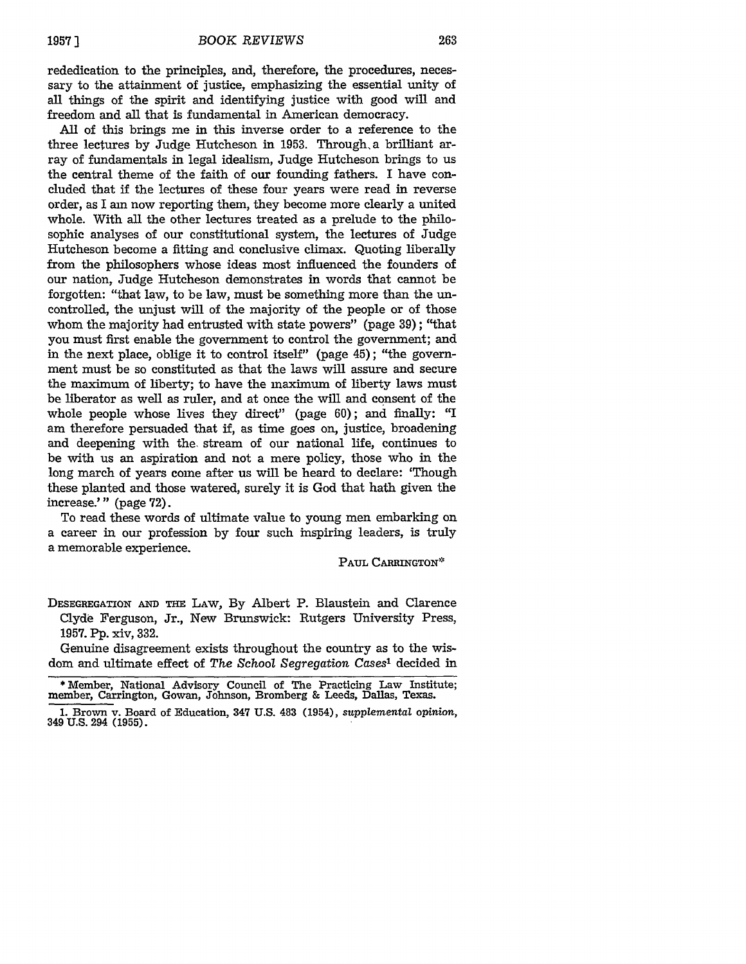rededication to the principles, and, therefore, the procedures, necessary to the attainment of justice, emphasizing the essential unity of all things of the spirit and identifying justice with good will and freedom and all that is fundamental in American democracy.

All of this brings me in this inverse order to a reference to the three lectures by Judge Hutcheson in 1953. Through a brilliant array of fundamentals in legal idealism, Judge Hutcheson brings to us the central theme of the faith of our founding fathers. I have concluded that if the lectures of these four years were read in reverse order, as I am now reporting them, they become more clearly a united whole. With all the other lectures treated as a prelude to the philosophic analyses of our constitutional system, the lectures of Judge Hutcheson become a fitting and conclusive climax. Quoting liberally from the philosophers whose ideas most influenced the founders of our nation, Judge Hutcheson demonstrates in words that cannot be forgotten: "that law, to be law, must be something more than the uncontrolled, the unjust will of the majority of the people or of those whom the majority had entrusted with state powers" (page 39); "that you must first enable the government to control the government; and in the next place, oblige it to control itself" (page 45); "the government must be so constituted as that the laws will assure and secure the maximum of liberty; to have the maximum of liberty laws must be liberator as well as ruler, and at once the will and consent of the whole people whose lives they direct" (page 60); and finally: "I am therefore persuaded that if, as time goes on, justice, broadening and deepening with the. stream of our national life, continues to be with us an aspiration and not a mere policy, those who in the long march of years come after us will be heard to declare: 'Though these planted and those watered, surely it is God that hath given the increase.'" (page 72).

To read these words of ultimate value to young men embarking on a career in our profession by four such inspiring leaders, is truly a memorable experience.

PAUL CARRINGTON\*

DESEGREGATION AND THE LAW, By Albert P. Blaustein and Clarence Clyde Ferguson, Jr., New Brunswick: Rutgers University Press, **1957. Pp.** xiv, 332.

Genuine disagreement exists throughout the country as to the wisdom and ultimate effect of *The* School *Segregation Cases'* decided in

<sup>\*</sup> Member, National Advisory Council of The Practicing Law Institute; member, Carrington, Gowan, Johnson, Bromberg & Leeds, Dallas, Texas.

**<sup>1.</sup>** Brown v. Board of Education, 347 **U.S.** 483 (1954), *supplemental* opinion, <sup>349</sup>**U.S.** 294 **(1955).**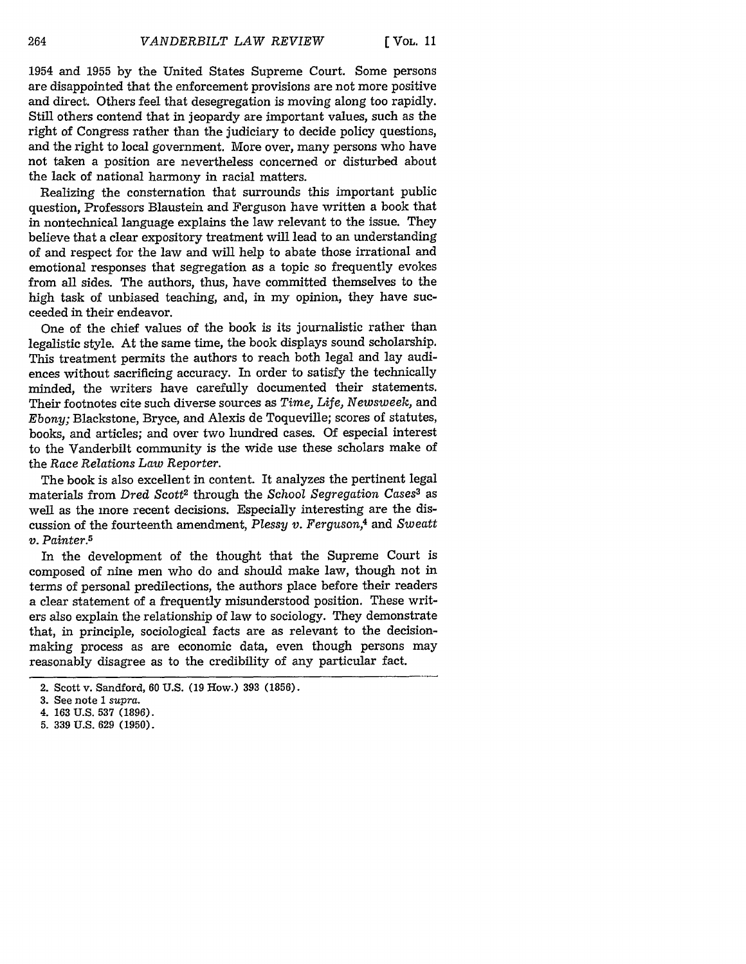1954 and 1955 by the United States Supreme Court. Some persons are disappointed that the enforcement provisions are not more positive and direct. Others feel that desegregation is moving along too rapidly. Still others contend that in jeopardy are important values, such as the right of Congress rather than the judiciary to decide policy questions, and the right to local government. More over, many persons who have not taken a position are nevertheless concerned or disturbed about the lack of national harmony in racial matters.

Realizing the consternation that surrounds this important public question, Professors Blaustein and Ferguson have written a book that in nontechnical language explains the law relevant to the issue. They believe that a clear expository treatment will lead to an understanding of and respect for the law and will help to abate those irrational and emotional responses that segregation as a topic so frequently evokes from all sides. The authors, thus, have committed themselves to the high task of unbiased teaching, and, in my opinion, they have succeeded in their endeavor.

One of the chief values of the book is its journalistic rather than legalistic style. At the same time, the book displays sound scholarship. This treatment permits the authors to reach both legal and lay audiences without sacrificing accuracy. In order to satisfy the technically minded, the writers have carefully documented their statements. Their footnotes cite such diverse sources as *Time, Life, Newsweek,* and *Ebony;* Blackstone, Bryce, and Alexis de Toqueville; scores of statutes, books, and articles; and over two hundred cases. Of especial interest to the Vanderbilt community is the wide use these scholars make of the *Race Relations Law Reporter.*

The book is also excellent in content. It analyzes the pertinent legal materials from *Dred Scott<sup>2</sup>* through the *School Segregation Cases<sup>3</sup> as* well as the more recent decisions. Especially interesting are the discussion of the fourteenth amendment, *Plessy v. Ferguson,4* and *Sweatt v. Painter.5*

In the development of the thought that the Supreme Court is composed of nine men who do and should make law, though not in terms of personal predilections, the authors place before their readers a clear statement of a frequently misunderstood position. These writers also explain the relationship of law to sociology. They demonstrate that, in principle, sociological facts are as relevant to the decisionmaking process as are economic data, even though persons may reasonably disagree as to the credibility of any particular fact.

**5. 339 U.S. 629 (1950).**

<sup>2.</sup> Scott v. Sandford, 60 U.S. **(19** How.) **393 (1856).**

**<sup>3.</sup>** See note **I** *supra.*

<sup>4.</sup> **163 U.S. 537 (1896).**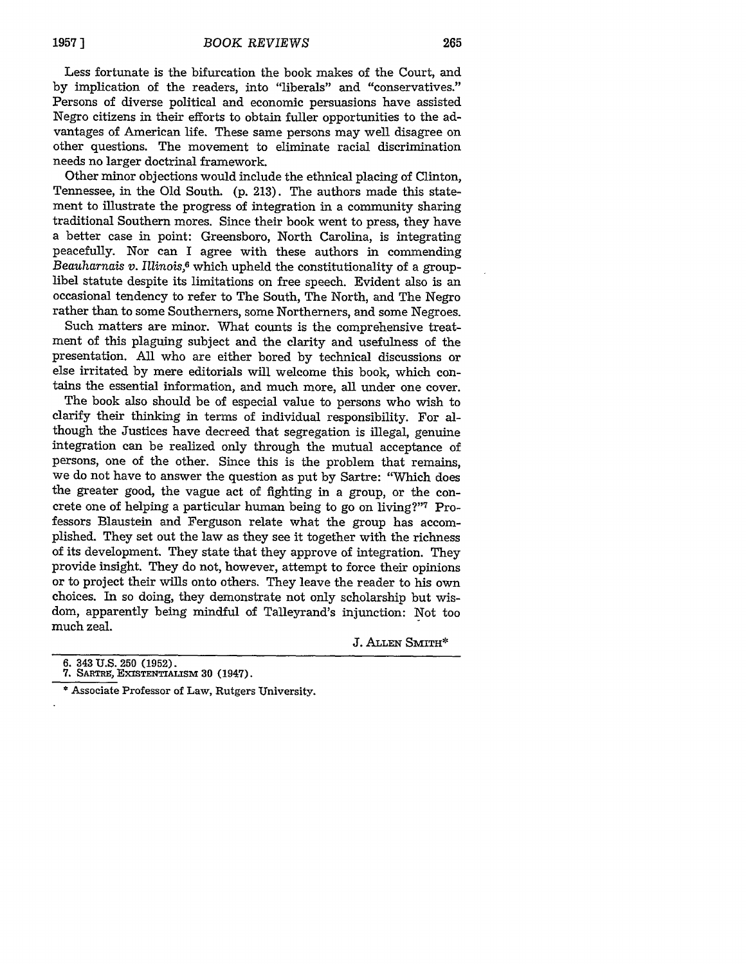Less fortunate is the bifurcation the book makes of the Court, and by implication of the readers, into "liberals" and "conservatives." Persons of diverse political and economic persuasions have assisted Negro citizens in their efforts to obtain fuller opportunities to the advantages of American life. These same persons may well disagree on other questions. The movement to eliminate racial discrimination needs no larger doctrinal framework.

Other minor objections would include the ethnical placing of Clinton, Tennessee, in the Old South. (p. 213). The authors made this statement to illustrate the progress of integration in a community sharing traditional Southern mores. Since their book went to press, they have a better case in point: Greensboro, North Carolina, is integrating peacefully. Nor can I agree with these authors in commending *Beauharnais v. Illinois,6* which upheld the constitutionality of a grouplibel statute despite its limitations on free speech. Evident also is an occasional tendency to refer to The South, The North, and The Negro rather than to some Southerners, some Northerners, and some Negroes.

Such matters are minor. What counts is the comprehensive treatment of this plaguing subject and the clarity and usefulness of the presentation. All who are either bored by technical discussions or else irritated by mere editorials will welcome this book, which contains the essential information, and much more, all under one cover.

The book also should be of especial value to persons who wish to clarify their thinking in terms of individual responsibility. For although the Justices have decreed that segregation is illegal, genuine integration can be realized only through the mutual acceptance of persons, one of the other. Since this is the problem that remains, we do not have to answer the question as put by Sartre: "Which does the greater good, the vague act of fighting in a group, or the concrete one of helping a particular human being to go on living?"7 Professors Blaustein and Ferguson relate what the group has accomplished. They set out the law as they see it together with the richness of its development. They state that they approve of integration. They provide insight. They do not, however, attempt to force their opinions or to project their wills onto others. They leave the reader to his own choices. In so doing, they demonstrate not only scholarship but wisdom, apparently being mindful of Talleyrand's injunction: Not too much zeal.

J. **ALLEN SmITH\***

**<sup>6. 343</sup> U.S. 250 (1952). 7. SARTRE, EXISTENTIALSM 30 (1947).**

<sup>\*</sup> Associate Professor of Law, Rutgers University.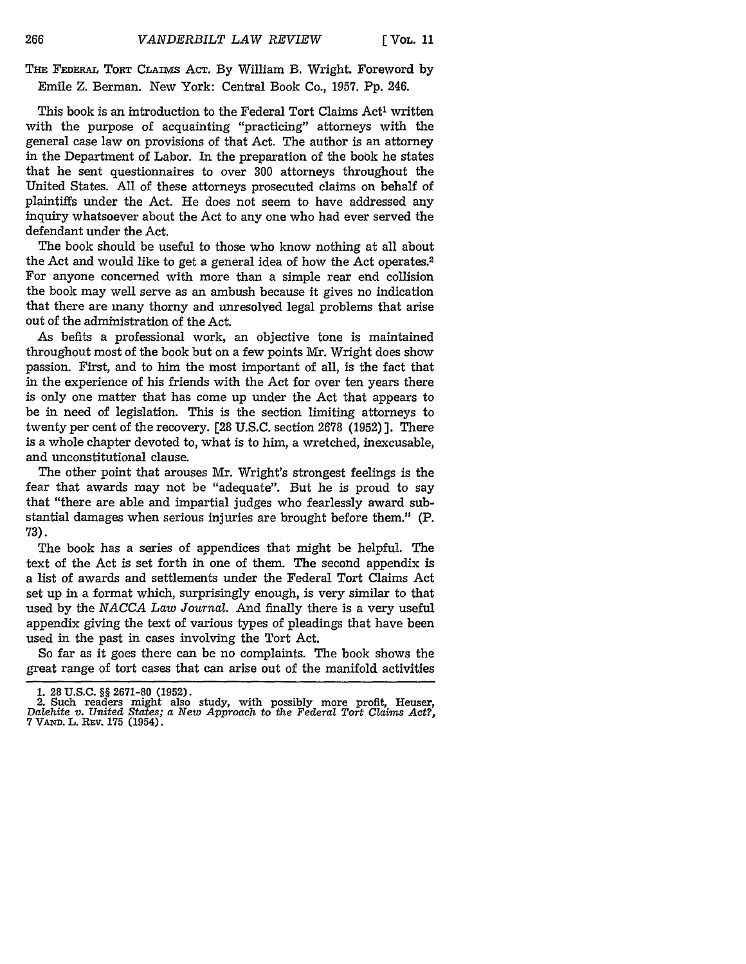**THE FEDERAL** TORT **CLAIMs ACT.** By William B. Wright. Foreword by Emile Z. Berman. New York: Central Book Co., 1957. Pp. 246.

This book is an introduction to the Federal Tort Claims Act' written with the purpose of acquainting "practicing" attorneys with the general case law on provisions of that Act. The author is an attorney in the Department of Labor. In the preparation of the book he states that he sent questionnaires to over 300 attorneys throughout the United States. All of these attorneys prosecuted claims on behalf of plaintiffs under the Act. He does not seem to have addressed any inquiry whatsoever about the Act to any one who had ever served the defendant under the Act.

The book should be useful to those who know nothing at all about the Act and would like to get a general idea of how the Act operates.2 For anyone concerned with more than a simple rear end collision the book may well serve as an ambush because it gives no indication that there are many thorny and unresolved legal problems that arise out of the administration of the Act.

As befits a professional work, an objective tone is maintained throughout most of the book but on a few points **Mr.** Wright does show passion. First, and to him the most important of all, is the fact that in the experience of his friends with the Act for over ten years there is only one matter that has come up under the Act that appears to be in need of legislation. This is the section limiting attorneys to twenty per cent of the recovery. [28 U.S.C. section 2678 (1952) ]. There is a whole chapter devoted to, what is to him, a wretched, inexcusable, and unconstitutional clause.

The other point that arouses Mr. Wright's strongest feelings is the fear that awards may not be "adequate". But he is proud to say that "there are able and impartial judges who fearlessly award substantial damages when serious injuries are brought before them." (P. **73).**

The book has a series of appendices that might be helpful. The text of the Act is set forth in one of them. The second appendix is a list of awards and settlements under the Federal Tort Claims Act set up in a format which, surprisingly enough, is very similar to that used by the *NACCA Law Journal.* And finally there is a very useful appendix giving the text of various types of pleadings that have been used in the past in cases involving the Tort Act.

So far as it goes there can be no complaints. The book shows the great range of tort cases that can arise out of the manifold activities

266

<sup>1. 28</sup> U.S.C. §§ 2671-80 (1952).<br>2. Such readers might also study, with possibly more profit, Heuser, Dalehite v. United States; a New Approach to the Federal Tort Claims Act?, 7 VAND. L. REV. 175 (1954).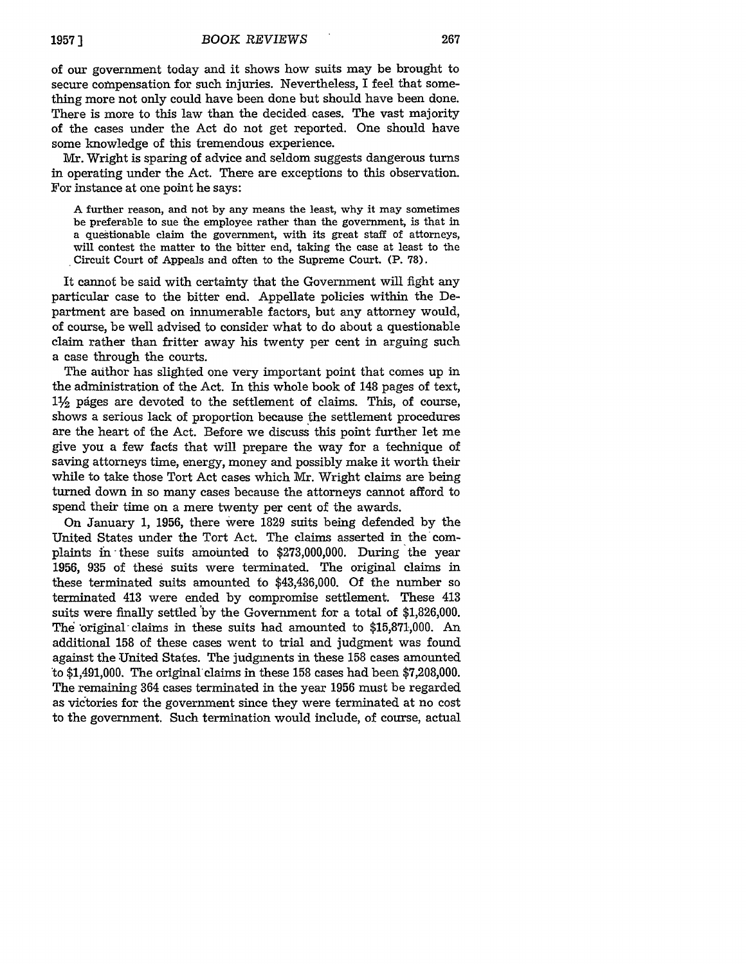of our government today and it shows how suits may be brought to secure compensation for such injuries. Nevertheless, I feel that something more not only could have been done but should have been done. There is more to this law than the decided cases. The vast majority of the cases under the Act do not get reported. One should have some knowledge of this tremendous experience.

Mr. Wright is sparing of advice and seldom suggests dangerous turns in operating under the Act. There are exceptions to this observation. For instance at one point he says:

A further reason, and not by any means the least, why it may sometimes be preferable to sue the employee rather than the government, is that in a questionable claim the government, with its great staff of attorneys, will contest the matter to the bitter end, taking the case at least to the Circuit Court of Appeals and often to the Supreme Court. (P. 78).

It cannot be said with certainty that the Government will fight any particular case to the bitter end. Appellate policies within the Department are based on innumerable factors, but any attorney would, of course, be well advised to consider what to do about a questionable claim rather than fritter away his twenty per cent in arguing such a case through the courts.

The author has slighted one very important point that comes up in the administration of the Act. In this whole book of 148 pages of text,  $1\frac{1}{2}$  pages are devoted to the settlement of claims. This, of course, shows a serious lack of proportion because the settlement procedures are the heart of the Act. Before we discuss this point further let me give you a few facts that will prepare the way for a technique of saving attorneys time, energy, money and possibly make it worth their while to take those Tort Act cases which Mr. Wright claims are being turned down in so many cases because the attorneys cannot afford to spend their time on a mere twenty per cent of the awards.

On January 1, 1956, there were 1829 suits being defended by the United States under the Tort Act. The claims asserted in the complaints in these suits amounted to \$273,000,000. During the year 1956, 935 of these suits were terminated. The original claims in these terminated suits amounted to \$43,436,000. Of the number so terminated 413 were ended by compromise settlement. These 413 suits were finally settled 'by the Government for a total of \$1,826,000. The 'original- claims in these suits had amounted to \$15,871,000. An additional 158 of these cases went to trial and judgment was found against the United States. The judgments in these 158 cases amounted to  $$1,491,000$ . The original claims in these 158 cases had been  $$7,208,000$ . The remaining 364 cases terminated in the year 1956 must be regarded as victories for the government since they were terminated at no cost to the government. Such termination would include, of course, actual